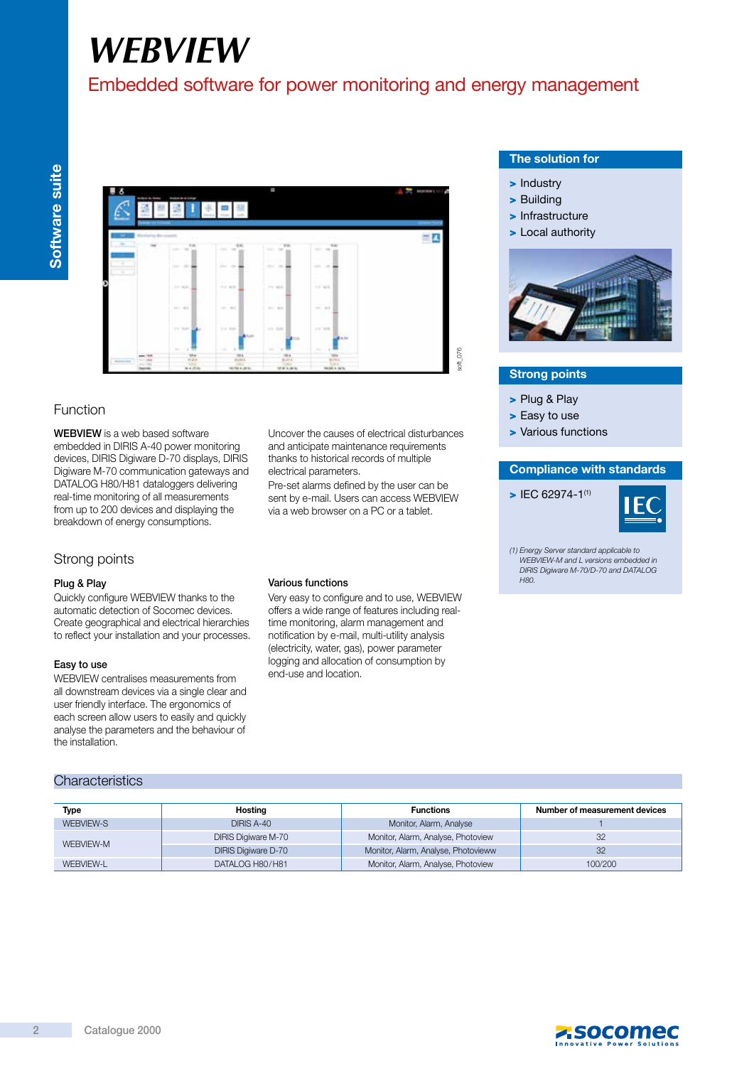# *WEBVIEW*

# Embedded software for power monitoring and energy management

| ٨<br><b>Andrew de Group</b><br><b>Lake Avenue</b>                               | <b><i>ANGER BISING</i></b><br><b>Call Corporation</b> |                                                      | p                                                     |                                                                     | <b>MEDIUM'S</b><br>H |
|---------------------------------------------------------------------------------|-------------------------------------------------------|------------------------------------------------------|-------------------------------------------------------|---------------------------------------------------------------------|----------------------|
| <b>CONTRACTOR</b><br>Methoday discussions<br>$-$                                | $x =$<br>ter and                                      | 31.95<br>control the                                 | 12<br>1411 148                                        | the property of the property<br>15.20<br>the com-                   | __                   |
| -9<br>÷<br>---<br>÷<br>-                                                        | --<br>$\sim$<br>- 3                                   | e en<br>×.<br>n an<br>۰<br>-<br>$\sim$               | .<br><b>11.88</b>                                     | man and<br>and the                                                  |                      |
|                                                                                 | $\sim$ $\sim$<br>(except)<br>- 1-1<br>$2222 - 264$    | <b>Service</b><br>$114'$ and $9$<br>---<br>ters' and | <b>COLLEGE</b><br>THE REAL<br>m.<br>$\sim$<br>21. 85. | 33,55%<br>$-12 - 46 + 6$<br><b>Chair</b><br>$-20.1$                 |                      |
|                                                                                 | 33.30022<br>$\cdots$<br>- 2                           | $3 - 4$ . Walk-1<br><b>A</b> NUTT                    | 11.144                                                | co me<br><b>Brazil</b>                                              |                      |
| $-$ 100<br><b>COLLEGE</b><br><b>Report Follows</b><br>$-10$<br><b>Secretary</b> | 7 H<br>$\sim$<br>콢<br><b>MARINE</b>                   | à<br>$\sim$<br>淼<br>1981<br>on he a strike           | $\alpha$<br>on.<br>飍<br>He F<br>to hat a same.        | $\frac{1}{2}$<br>×<br>1014<br><b>WHAT</b><br>W<br>100,000 S. To for |                      |

# Function

WEBVIEW is a web based software embedded in DIRIS A-40 power monitoring devices, DIRIS Digiware D-70 displays, DIRIS Digiware M-70 communication gateways and DATALOG H80/H81 dataloggers delivering real-time monitoring of all measurements from up to 200 devices and displaying the breakdown of energy consumptions.

# Strong points

#### Plug & Play

Quickly configure WEBVIEW thanks to the automatic detection of Socomec devices. Create geographical and electrical hierarchies to reflect your installation and your processes.

#### Easy to use

WEBVIEW centralises measurements from all downstream devices via a single clear and user friendly interface. The ergonomics of each screen allow users to easily and quickly analyse the parameters and the behaviour of the installation.

#### Various functions

electrical parameters.

Very easy to configure and to use, WEBVIEW offers a wide range of features including realtime monitoring, alarm management and notification by e-mail, multi-utility analysis (electricity, water, gas), power parameter logging and allocation of consumption by end-use and location.

Uncover the causes of electrical disturbances and anticipate maintenance requirements thanks to historical records of multiple

Pre-set alarms defined by the user can be sent by e-mail. Users can access WEBVIEW via a web browser on a PC or a tablet.

# The solution for

- > Industry
- > Building
- > Infrastructure
- > Local authority



### Strong points

- > Plug & Play
- > Easy to use
- > Various functions

#### Compliance with standards

 $\blacktriangleright$  IFC 62974-1<sup>(1)</sup>



(1) Energy Server standard applicable to WEBVIEW-M and L versions embedded in DIRIS Digiware M-70/D-70 and DATALOG  $H80$ 

| <b>Characteristics</b> |  |
|------------------------|--|
|                        |  |

| Type      | Hosting                    | <b>Functions</b>                    | Number of measurement devices |
|-----------|----------------------------|-------------------------------------|-------------------------------|
| WEBVIEW-S | DIRIS A-40                 | Monitor, Alarm, Analyse             |                               |
| WEBVIEW-M | <b>DIRIS Digiware M-70</b> | Monitor, Alarm, Analyse, Photoview  | 32                            |
|           | <b>DIRIS Digiware D-70</b> | Monitor, Alarm, Analyse, Photovieww | 32                            |
| WEBVIEW-L | DATALOG H80/H81            | Monitor, Alarm, Analyse, Photoview  | 100/200                       |